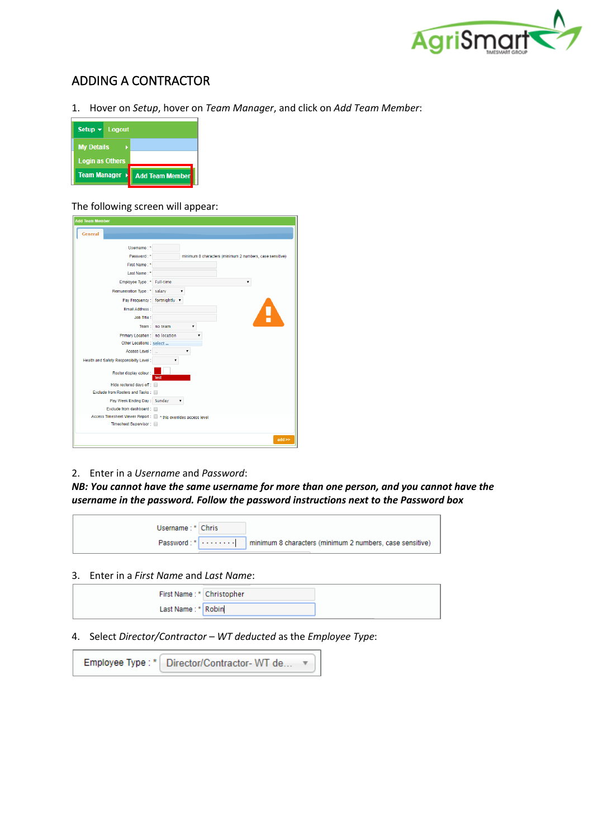

# ADDING A CONTRACTOR

1. Hover on *Setup*, hover on *Team Manager*, and click on *Add Team Member*:

| Setup $\mathbf{v}$ Logout |                        |
|---------------------------|------------------------|
| <b>My Details</b>         |                        |
| <b>Login as Others</b>    |                        |
| Team Manager →            | <b>Add Team Member</b> |

### The following screen will appear:

| <b>Add Team Member</b>                                            |                                                          |
|-------------------------------------------------------------------|----------------------------------------------------------|
| <b>General</b>                                                    |                                                          |
|                                                                   |                                                          |
| Username:*                                                        |                                                          |
| Password: *                                                       | minimum 8 characters (minimum 2 numbers, case sensitive) |
| First Name: *                                                     |                                                          |
| Last Name: *                                                      |                                                          |
| Employee Type: *                                                  | Full-time                                                |
| Remuneration Type: *                                              | salary                                                   |
| Pay Frequency: fortnightly v                                      |                                                          |
| <b>Email Address :</b>                                            |                                                          |
| Job Title:                                                        |                                                          |
| Team:                                                             | no team<br>۳                                             |
| <b>Primary Location:</b>                                          | no location                                              |
| Other Locations : select                                          |                                                          |
| Access Level:                                                     |                                                          |
| Health and Safety Responsibilty Level:                            | <b>v</b>                                                 |
| Roster display colour :                                           | test                                                     |
| Hide rostered days off:                                           |                                                          |
| Exclude from Rosters and Tasks:                                   |                                                          |
| Pay Week Ending Day: Sunday                                       |                                                          |
| Exclude from dashboard:                                           |                                                          |
| Access Timesheet Viewer Report : We * this overrides access level |                                                          |
| Timesheet Supervisor:                                             |                                                          |
|                                                                   | $add \geq$                                               |

### 2. Enter in a *Username* and *Password*:

*NB: You cannot have the same username for more than one person, and you cannot have the username in the password. Follow the password instructions next to the Password box* 

| Username: * Chris |  |
|-------------------|--|
|                   |  |

## 3. Enter in a *First Name* and *Last Name*:

| First Name: * Christopher |  |
|---------------------------|--|
| Last Name: * Robin        |  |

4. Select *Director/Contractor – WT deducted* as the *Employee Type*:

|  | Employee Type: *   Director/Contractor-WT de |  |
|--|----------------------------------------------|--|
|--|----------------------------------------------|--|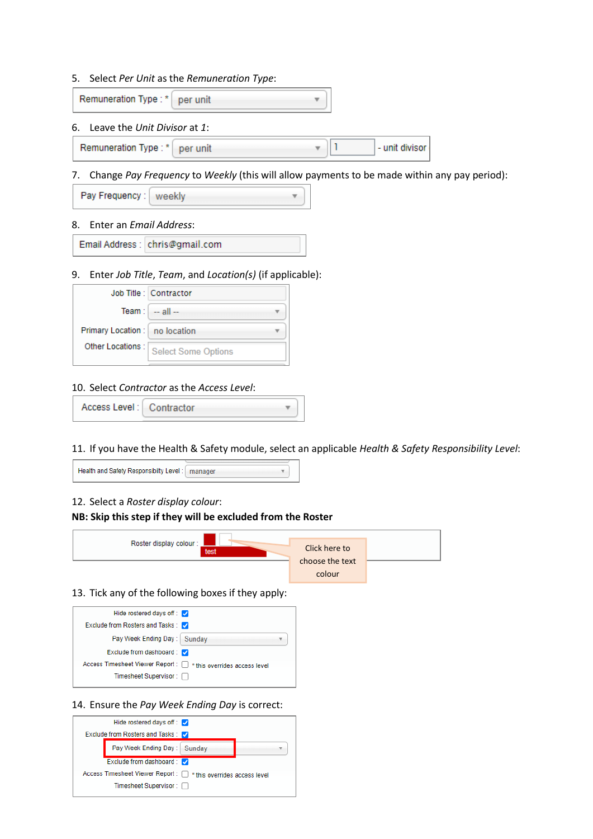#### 5. Select *Per Unit* as the *Remuneration Type*:

Remuneration Type:\* per unit

#### 6. Leave the *Unit Divisor* at *1*:

h Remuneration Type: \* per unit - unit divisor

#### 7. Change *Pay Frequency* to *Weekly* (this will allow payments to be made within any pay period):

| Pay Frequency:   weekly |  |  |
|-------------------------|--|--|
|-------------------------|--|--|

#### 8. Enter an *Email Address*:

Email Address : chris@gmail.com

#### 9. Enter *Job Title*, *Team*, and *Location(s)* (if applicable):

|                                  | Job Title : Contractor     |  |  |  |  |  |
|----------------------------------|----------------------------|--|--|--|--|--|
|                                  | Team : $-$ all $-$         |  |  |  |  |  |
| Primary Location :   no location |                            |  |  |  |  |  |
| Other Locations :                | <b>Select Some Options</b> |  |  |  |  |  |

#### 10. Select *Contractor* as the *Access Level*:

| Access Level:   Contractor |  |
|----------------------------|--|
|----------------------------|--|

## 11. If you have the Health & Safety module, select an applicable *Health & Safety Responsibility Level*:

| Health and Safety Responsibilty Level :   manager |  |
|---------------------------------------------------|--|
|                                                   |  |

## 12. Select a *Roster display colour*:

#### **NB: Skip this step if they will be excluded from the Roster**



#### 13. Tick any of the following boxes if they apply:



#### 14. Ensure the *Pay Week Ending Day* is correct:

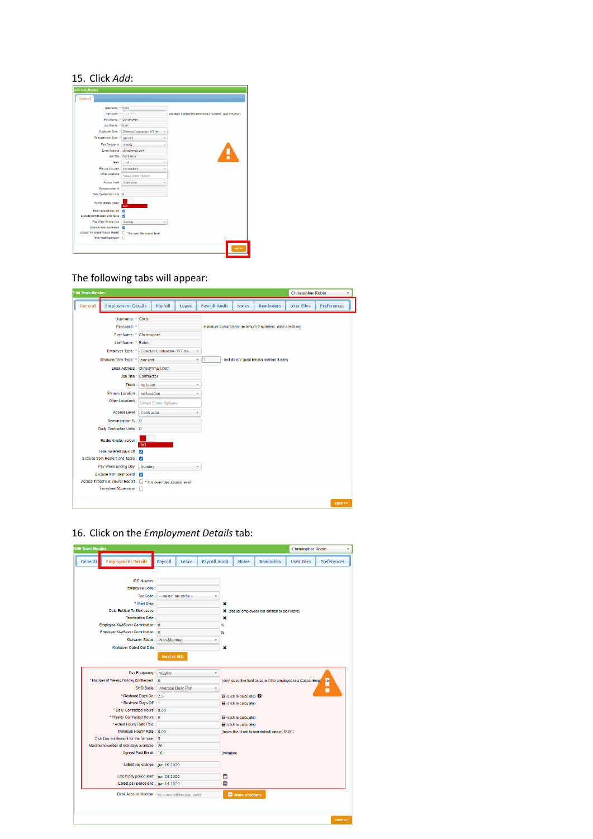## 15. Click *Add*:

| <b>Add Team Member</b>                                            |                                            |                                                          |
|-------------------------------------------------------------------|--------------------------------------------|----------------------------------------------------------|
| <b>General</b>                                                    |                                            |                                                          |
| Usemame: * Chris                                                  |                                            |                                                          |
|                                                                   |                                            |                                                          |
| Password:"                                                        |                                            | minimum 8 characters (minimum 2 numbers, case sensitive) |
| First Name: * Christopher                                         |                                            |                                                          |
| Last Name: * User                                                 |                                            |                                                          |
|                                                                   | Employee Type: * Director/Contractor-WT de |                                                          |
| Remuneration Type: * per unit                                     |                                            |                                                          |
| Pay Frequency: wookly                                             |                                            |                                                          |
|                                                                   | Email Address : chris@gmail.com            |                                                          |
|                                                                   | <b>Job Title: Contractor</b>               | !                                                        |
|                                                                   | Team: $\ldots$ all $\ldots$                |                                                          |
| Primary Location : no location                                    |                                            |                                                          |
| Other Locations :                                                 | <b>Select Some Options</b>                 |                                                          |
| Access Level:                                                     | Contractor                                 |                                                          |
| Remuneration %                                                    |                                            |                                                          |
| Daily Contracted Units: 0                                         |                                            |                                                          |
| Roster display colour :                                           | fest                                       |                                                          |
| Hide rostered days off:                                           |                                            |                                                          |
| Exclude from Rosters and Tasks : 2                                |                                            |                                                          |
| Pay Week Ending Day: Sunday                                       |                                            |                                                          |
| Exclude from dashboard: 2                                         |                                            |                                                          |
| Access Timesheet Viewer Report: [7] * this overrides access level |                                            |                                                          |
| Timesheet Supervisor:                                             |                                            |                                                          |
|                                                                   |                                            | add >>                                                   |

## The following tabs will appear:

| <b>Edit Team Member</b> |                                                                                               |             |                             |       |                      |              |                                                          | <b>Christopher Robin</b> | $\overline{\mathbf{v}}$ |
|-------------------------|-----------------------------------------------------------------------------------------------|-------------|-----------------------------|-------|----------------------|--------------|----------------------------------------------------------|--------------------------|-------------------------|
| <b>General</b>          | <b>Employment Details</b>                                                                     |             | Payroll                     | Leave | <b>Payroll Audit</b> | <b>Notes</b> | <b>Reminders</b>                                         | <b>User Files</b>        | <b>Preferences</b>      |
|                         | Username: * Chris                                                                             |             |                             |       |                      |              |                                                          |                          |                         |
|                         | Password:*                                                                                    |             |                             |       |                      |              | minimum 8 characters (minimum 2 numbers, case sensitive) |                          |                         |
|                         | First Name: * Christopher                                                                     |             |                             |       |                      |              |                                                          |                          |                         |
|                         | Last Name: * Robin                                                                            |             |                             |       |                      |              |                                                          |                          |                         |
|                         | Employee Type: *                                                                              |             | Director/Contractor-WT de v |       |                      |              |                                                          |                          |                         |
|                         | Remuneration Type : *                                                                         | per unit    |                             |       | ı                    |              | - unit divisor (paid breaks method 3 only)               |                          |                         |
|                         | Email Address : chris@gmail.com                                                               |             |                             |       |                      |              |                                                          |                          |                         |
|                         | Job Title : Contractor                                                                        |             |                             |       |                      |              |                                                          |                          |                         |
|                         | Team:                                                                                         | no team     |                             |       | $\mathbf{v}$         |              |                                                          |                          |                         |
|                         | <b>Primary Location:</b>                                                                      | no location |                             |       |                      |              |                                                          |                          |                         |
|                         | Other Locations :                                                                             |             | <b>Select Some Options</b>  |       |                      |              |                                                          |                          |                         |
|                         | Access Level:                                                                                 | Contractor  |                             |       |                      |              |                                                          |                          |                         |
|                         | Remuneration % : 0                                                                            |             |                             |       |                      |              |                                                          |                          |                         |
|                         | Daily Contracted Units: 0                                                                     |             |                             |       |                      |              |                                                          |                          |                         |
|                         | Roster display colour:                                                                        | test        |                             |       |                      |              |                                                          |                          |                         |
|                         | Hide rostered days off:                                                                       |             |                             |       |                      |              |                                                          |                          |                         |
|                         | Exclude from Rosters and Tasks : V                                                            |             |                             |       |                      |              |                                                          |                          |                         |
|                         | Pay Week Ending Day: Sunday                                                                   |             |                             |       |                      |              |                                                          |                          |                         |
|                         | Exclude from dashboard: V                                                                     |             |                             |       |                      |              |                                                          |                          |                         |
|                         | Access Timesheet Viewer Report : [ ] * this overrides access level<br>Timesheet Supervisor: n |             |                             |       |                      |              |                                                          |                          |                         |
|                         |                                                                                               |             |                             |       |                      |              |                                                          |                          |                         |
|                         |                                                                                               |             |                             |       |                      |              |                                                          |                          | save $\gg$              |

16. Click on the *Employment Details* tab:

| <b>Edit Team Member</b>                    |                                             |                      |                                                    |                      |                                                                                                                                                        |                                                 |                                                 | <b>Christopher Robin</b> |                    |  |
|--------------------------------------------|---------------------------------------------|----------------------|----------------------------------------------------|----------------------|--------------------------------------------------------------------------------------------------------------------------------------------------------|-------------------------------------------------|-------------------------------------------------|--------------------------|--------------------|--|
| <b>Employment Details</b><br>General       |                                             | Payroll              | Leave                                              | <b>Payroll Audit</b> |                                                                                                                                                        | <b>Notes</b>                                    | <b>Reminders</b>                                | <b>User Files</b>        | <b>Preferences</b> |  |
|                                            |                                             |                      |                                                    |                      |                                                                                                                                                        |                                                 |                                                 |                          |                    |  |
|                                            | <b>IRD Number:</b>                          |                      |                                                    |                      |                                                                                                                                                        |                                                 |                                                 |                          |                    |  |
|                                            | Employee Code:                              |                      |                                                    |                      |                                                                                                                                                        |                                                 |                                                 |                          |                    |  |
|                                            | Tax Code:                                   | - select tax code -- |                                                    |                      |                                                                                                                                                        |                                                 |                                                 |                          |                    |  |
|                                            | * Start Date:                               |                      |                                                    | ×                    |                                                                                                                                                        |                                                 |                                                 |                          |                    |  |
|                                            | Date Entitled To Sick Leave :               |                      |                                                    |                      |                                                                                                                                                        |                                                 | X (casual employees not entitled to sick leave) |                          |                    |  |
|                                            | <b>Termination Date:</b>                    |                      |                                                    |                      | $\mathbf x$                                                                                                                                            |                                                 |                                                 |                          |                    |  |
| Employee KiwiSaver Contribution : 0        |                                             |                      |                                                    |                      | %                                                                                                                                                      |                                                 |                                                 |                          |                    |  |
| Employer KiwiSaver Contribution : 0        |                                             |                      |                                                    |                      | %                                                                                                                                                      |                                                 |                                                 |                          |                    |  |
|                                            | Kiwisaver Status:                           | Non-Member           |                                                    |                      |                                                                                                                                                        |                                                 |                                                 |                          |                    |  |
|                                            | Kiwisaver Opted Out Date:                   |                      |                                                    |                      | ×                                                                                                                                                      |                                                 |                                                 |                          |                    |  |
|                                            |                                             | Send to IRD          |                                                    |                      |                                                                                                                                                        |                                                 |                                                 |                          |                    |  |
|                                            | Pay Frequency:                              | weekly               |                                                    | ۷                    |                                                                                                                                                        |                                                 |                                                 |                          |                    |  |
| * Number of Weeks Holiday Entitlement : 0  |                                             |                      | <b>Average Daily Pay</b><br>$\overline{\mathbf v}$ |                      | (only leave this field as zero if the employee is a Casual Empl<br>ee)<br>П<br>$\mathbf$ (click to calculate) $\mathbf \Theta$<br>(click to calculate) |                                                 |                                                 |                          |                    |  |
|                                            | <b>SHO Basis:</b>                           |                      |                                                    |                      |                                                                                                                                                        |                                                 |                                                 |                          |                    |  |
|                                            | * Rostered Days On: 2.5                     |                      |                                                    |                      |                                                                                                                                                        |                                                 |                                                 |                          |                    |  |
|                                            | * Rostered Days Off: 1                      |                      |                                                    |                      |                                                                                                                                                        |                                                 |                                                 |                          |                    |  |
|                                            | * Daily Contracted Hours : 0.00             |                      |                                                    |                      |                                                                                                                                                        |                                                 |                                                 |                          |                    |  |
|                                            | * Weekly Contracted Hours : 0               |                      |                                                    |                      |                                                                                                                                                        | (click to calculate)                            |                                                 |                          |                    |  |
|                                            | * Actual Hourly Rate Paid:                  |                      |                                                    |                      |                                                                                                                                                        | (click to calculate)                            |                                                 |                          |                    |  |
|                                            | Minimum Hourly Rate: 0.00                   |                      |                                                    |                      |                                                                                                                                                        | (leave this blank to use default rate of 18.90) |                                                 |                          |                    |  |
| Sick Day entitlement for the full year: 5  |                                             |                      |                                                    |                      |                                                                                                                                                        |                                                 |                                                 |                          |                    |  |
| Maximum number of sick days available : 20 |                                             |                      |                                                    |                      |                                                                                                                                                        |                                                 |                                                 |                          |                    |  |
|                                            | Agreed Paid Break: 10                       |                      |                                                    |                      | (minutes)                                                                                                                                              |                                                 |                                                 |                          |                    |  |
|                                            | Latest pay change: Jun 10 2020              |                      |                                                    |                      |                                                                                                                                                        |                                                 |                                                 |                          |                    |  |
|                                            | Latest pay period start : Jun 08 2020       |                      |                                                    |                      | 鯩                                                                                                                                                      |                                                 |                                                 |                          |                    |  |
|                                            | Latest pay period end : Jun 14 2020         |                      |                                                    |                      | 鯩                                                                                                                                                      |                                                 |                                                 |                          |                    |  |
|                                            | Bank Account Number : XX-XXXX-XXXXXXXX-XXXX |                      |                                                    |                      |                                                                                                                                                        | <b>D</b> more accounts                          |                                                 |                          |                    |  |
|                                            |                                             |                      |                                                    |                      |                                                                                                                                                        |                                                 |                                                 |                          |                    |  |
|                                            |                                             |                      |                                                    |                      |                                                                                                                                                        |                                                 |                                                 |                          | save $\gg$         |  |